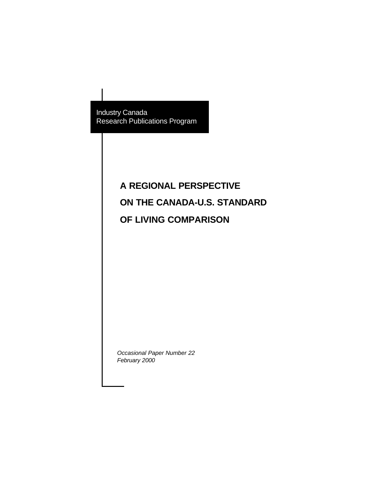Industry Canada Research Publications Program

# **A REGIONAL PERSPECTIVE ON THE CANADA-U.S. STANDARD OF LIVING COMPARISON**

*Occasional Paper Number 22 February 2000*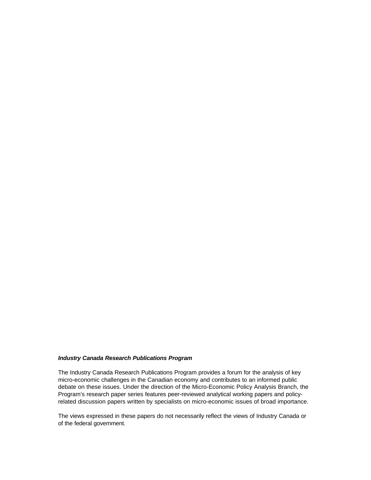#### *Industry Canada Research Publications Program*

The Industry Canada Research Publications Program provides a forum for the analysis of key micro-economic challenges in the Canadian economy and contributes to an informed public debate on these issues. Under the direction of the Micro-Economic Policy Analysis Branch, the Program's research paper series features peer-reviewed analytical working papers and policyrelated discussion papers written by specialists on micro-economic issues of broad importance.

The views expressed in these papers do not necessarily reflect the views of Industry Canada or of the federal government.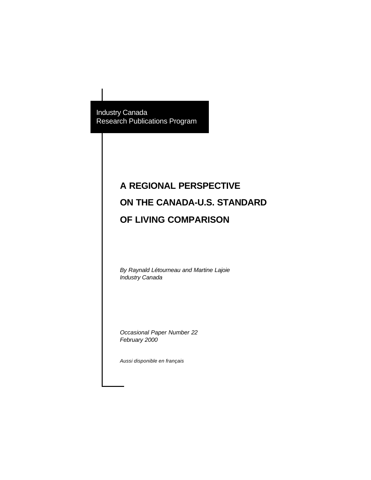Industry Canada Research Publications Program

# **A REGIONAL PERSPECTIVE ON THE CANADA-U.S. STANDARD OF LIVING COMPARISON**

*By Raynald Létourneau and Martine Lajoie Industry Canada* 

*Occasional Paper Number 22 February 2000*

*Aussi disponible en français*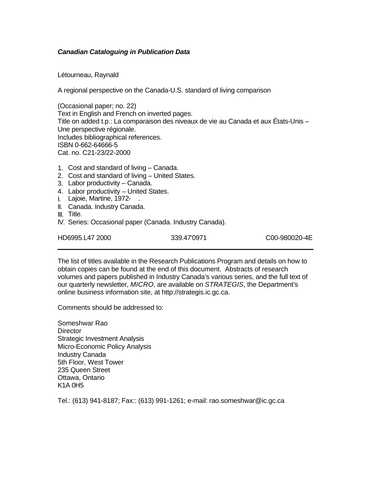#### *Canadian Cataloguing in Publication Data*

Létourneau, Raynald

A regional perspective on the Canada-U.S. standard of living comparison

(Occasional paper; no. 22) Text in English and French on inverted pages. Title on added t.p.: La comparaison des niveaux de vie au Canada et aux États-Unis – Une perspective régionale. Includes bibliographical references. ISBN 0-662-64666-5 Cat. no. C21-23/22-2000

- 1. Cost and standard of living Canada.
- 2. Cost and standard of living United States.
- 3. Labor productivity Canada.
- 4. Labor productivity United States.
- I. Lajoie, Martine, 1972- .
- II. Canada. Industry Canada.
- III. Title.
- IV. Series: Occasional paper (Canada. Industry Canada).

HD6995.L47 2000 339.47'0971 C00-980020-4E

The list of titles available in the Research Publications Program and details on how to obtain copies can be found at the end of this document. Abstracts of research volumes and papers published in Industry Canada's various series, and the full text of our quarterly newsletter, *MICRO*, are available on *STRATEGIS*, the Department's online business information site, at http://strategis.ic.gc.ca.

Comments should be addressed to:

Someshwar Rao **Director** Strategic Investment Analysis Micro-Economic Policy Analysis Industry Canada 5th Floor, West Tower 235 Queen Street Ottawa, Ontario K1A 0H5

Tel.: (613) 941-8187; Fax:: (613) 991-1261; e-mail: rao.someshwar@ic.gc.ca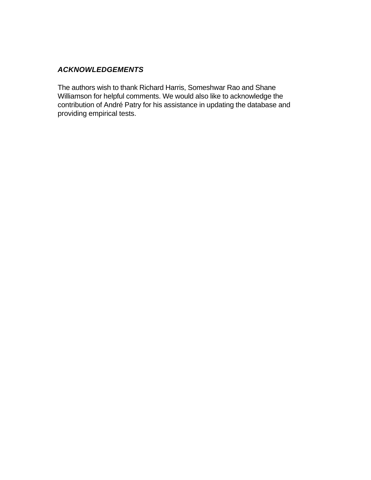## *ACKNOWLEDGEMENTS*

The authors wish to thank Richard Harris, Someshwar Rao and Shane Williamson for helpful comments. We would also like to acknowledge the contribution of André Patry for his assistance in updating the database and providing empirical tests.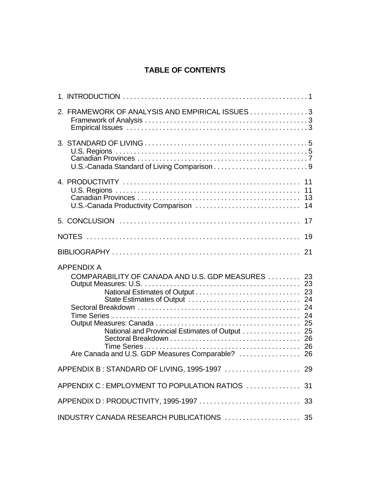# **TABLE OF CONTENTS**

| 2. FRAMEWORK OF ANALYSIS AND EMPIRICAL ISSUES 3                                                                                                                           |                                        |
|---------------------------------------------------------------------------------------------------------------------------------------------------------------------------|----------------------------------------|
|                                                                                                                                                                           |                                        |
| U.S.-Canada Productivity Comparison                                                                                                                                       | 11<br>11<br>13<br>14                   |
|                                                                                                                                                                           | 17                                     |
|                                                                                                                                                                           | 19                                     |
|                                                                                                                                                                           | 21                                     |
| <b>APPENDIX A</b><br>COMPARABILITY OF CANADA AND U.S. GDP MEASURES<br>National and Provincial Estimates of Output  25<br>Are Canada and U.S. GDP Measures Comparable?  26 | 23<br>23<br>23<br>24<br>24<br>24<br>26 |
|                                                                                                                                                                           |                                        |
| APPENDIX C: EMPLOYMENT TO POPULATION RATIOS  31                                                                                                                           |                                        |
|                                                                                                                                                                           |                                        |
| INDUSTRY CANADA RESEARCH PUBLICATIONS  35                                                                                                                                 |                                        |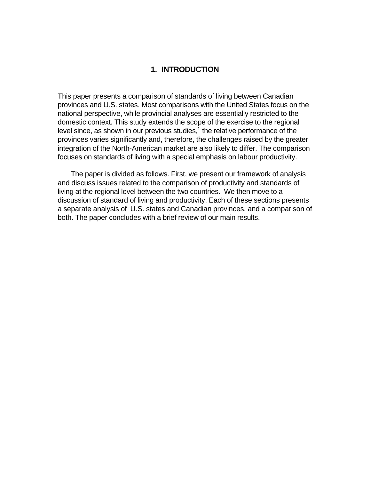#### **1. INTRODUCTION**

This paper presents a comparison of standards of living between Canadian provinces and U.S. states. Most comparisons with the United States focus on the national perspective, while provincial analyses are essentially restricted to the domestic context. This study extends the scope of the exercise to the regional level since, as shown in our previous studies, $1$  the relative performance of the provinces varies significantly and, therefore, the challenges raised by the greater integration of the North-American market are also likely to differ. The comparison focuses on standards of living with a special emphasis on labour productivity.

The paper is divided as follows. First, we present our framework of analysis and discuss issues related to the comparison of productivity and standards of living at the regional level between the two countries. We then move to a discussion of standard of living and productivity. Each of these sections presents a separate analysis of U.S. states and Canadian provinces, and a comparison of both. The paper concludes with a brief review of our main results.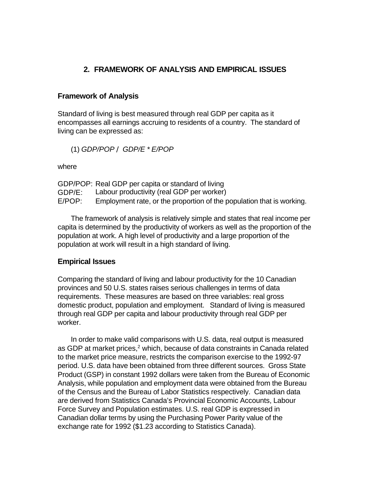## **2. FRAMEWORK OF ANALYSIS AND EMPIRICAL ISSUES**

## **Framework of Analysis**

Standard of living is best measured through real GDP per capita as it encompasses all earnings accruing to residents of a country. The standard of living can be expressed as:

(1) *GDP/POP / GDP/E \* E/POP*

where

|        | GDP/POP: Real GDP per capita or standard of living                    |
|--------|-----------------------------------------------------------------------|
| GDP/E: | Labour productivity (real GDP per worker)                             |
| E/POP: | Employment rate, or the proportion of the population that is working. |

The framework of analysis is relatively simple and states that real income per capita is determined by the productivity of workers as well as the proportion of the population at work. A high level of productivity and a large proportion of the population at work will result in a high standard of living.

## **Empirical Issues**

Comparing the standard of living and labour productivity for the 10 Canadian provinces and 50 U.S. states raises serious challenges in terms of data requirements. These measures are based on three variables: real gross domestic product, population and employment. Standard of living is measured through real GDP per capita and labour productivity through real GDP per worker.

In order to make valid comparisons with U.S. data, real output is measured as GDP at market prices,<sup>2</sup> which, because of data constraints in Canada related to the market price measure, restricts the comparison exercise to the 1992-97 period. U.S. data have been obtained from three different sources. Gross State Product (GSP) in constant 1992 dollars were taken from the Bureau of Economic Analysis, while population and employment data were obtained from the Bureau of the Census and the Bureau of Labor Statistics respectively. Canadian data are derived from Statistics Canada's Provincial Economic Accounts, Labour Force Survey and Population estimates. U.S. real GDP is expressed in Canadian dollar terms by using the Purchasing Power Parity value of the exchange rate for 1992 (\$1.23 according to Statistics Canada).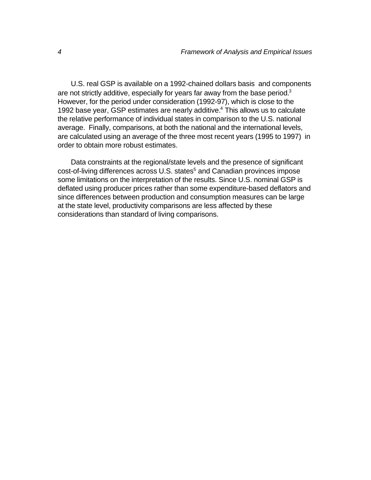U.S. real GSP is available on a 1992-chained dollars basis and components are not strictly additive, especially for years far away from the base period.<sup>3</sup> However, for the period under consideration (1992-97), which is close to the 1992 base year, GSP estimates are nearly additive.<sup>4</sup> This allows us to calculate the relative performance of individual states in comparison to the U.S. national average. Finally, comparisons, at both the national and the international levels, are calculated using an average of the three most recent years (1995 to 1997) in order to obtain more robust estimates.

Data constraints at the regional/state levels and the presence of significant cost-of-living differences across U.S. states<sup>5</sup> and Canadian provinces impose some limitations on the interpretation of the results. Since U.S. nominal GSP is deflated using producer prices rather than some expenditure-based deflators and since differences between production and consumption measures can be large at the state level, productivity comparisons are less affected by these considerations than standard of living comparisons.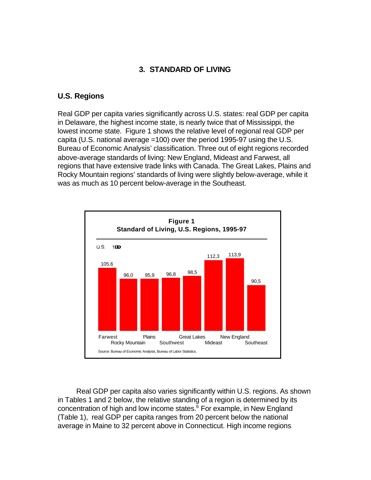## **3. STANDARD OF LIVING**

## **U.S. Regions**

Real GDP per capita varies significantly across U.S. states: real GDP per capita in Delaware, the highest income state, is nearly twice that of Mississippi, the lowest income state. Figure 1 shows the relative level of regional real GDP per capita (U.S. national average =100) over the period 1995-97 using the U.S. Bureau of Economic Analysis' classification. Three out of eight regions recorded above-average standards of living: New England, Mideast and Farwest, all regions that have extensive trade links with Canada. The Great Lakes, Plains and Rocky Mountain regions' standards of living were slightly below-average, while it was as much as 10 percent below-average in the Southeast.



Real GDP per capita also varies significantly within U.S. regions. As shown in Tables 1 and 2 below, the relative standing of a region is determined by its concentration of high and low income states.<sup>6</sup> For example, in New England (Table 1), real GDP per capita ranges from 20 percent below the national average in Maine to 32 percent above in Connecticut. High income regions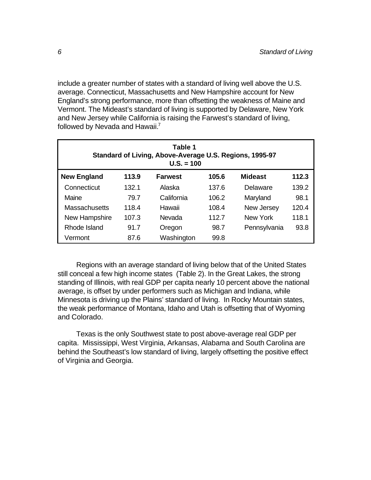include a greater number of states with a standard of living well above the U.S. average. Connecticut, Massachusetts and New Hampshire account for New England's strong performance, more than offsetting the weakness of Maine and Vermont. The Mideast's standard of living is supported by Delaware, New York and New Jersey while California is raising the Farwest's standard of living, followed by Nevada and Hawaii.<sup>7</sup>

| Table 1<br>Standard of Living, Above-Average U.S. Regions, 1995-97<br>$U.S. = 100$ |       |            |       |              |       |  |  |
|------------------------------------------------------------------------------------|-------|------------|-------|--------------|-------|--|--|
| <b>New England</b><br>113.9<br>105.6<br><b>Mideast</b><br>112.3<br><b>Farwest</b>  |       |            |       |              |       |  |  |
| Connecticut                                                                        | 132.1 | Alaska     | 137.6 | Delaware     | 139.2 |  |  |
| Maine                                                                              | 79.7  | California | 106.2 | Maryland     | 98.1  |  |  |
| <b>Massachusetts</b>                                                               | 118.4 | Hawaii     | 108.4 | New Jersey   | 120.4 |  |  |
| New Hampshire<br>107.3                                                             |       | Nevada     | 112.7 | New York     | 118.1 |  |  |
| Rhode Island<br>91.7                                                               |       | Oregon     | 98.7  | Pennsylvania | 93.8  |  |  |
| Vermont                                                                            | 87.6  | Washington | 99.8  |              |       |  |  |

Regions with an average standard of living below that of the United States still conceal a few high income states (Table 2). In the Great Lakes, the strong standing of Illinois, with real GDP per capita nearly 10 percent above the national average, is offset by under performers such as Michigan and Indiana, while Minnesota is driving up the Plains' standard of living. In Rocky Mountain states, the weak performance of Montana, Idaho and Utah is offsetting that of Wyoming and Colorado.

Texas is the only Southwest state to post above-average real GDP per capita. Mississippi, West Virginia, Arkansas, Alabama and South Carolina are behind the Southeast's low standard of living, largely offsetting the positive effect of Virginia and Georgia.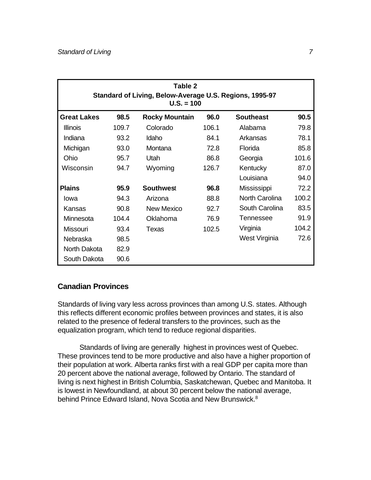| Table 2<br>Standard of Living, Below-Average U.S. Regions, 1995-97<br>$U.S. = 100$ |       |                       |       |                  |       |  |  |  |
|------------------------------------------------------------------------------------|-------|-----------------------|-------|------------------|-------|--|--|--|
| <b>Great Lakes</b>                                                                 | 98.5  | <b>Rocky Mountain</b> | 96.0  | <b>Southeast</b> | 90.5  |  |  |  |
| <b>Illinois</b>                                                                    | 109.7 | Colorado              | 106.1 | Alabama          | 79.8  |  |  |  |
| Indiana                                                                            | 93.2  | Idaho                 | 84.1  | Arkansas         | 78.1  |  |  |  |
| Michigan                                                                           | 93.0  | Montana               | 72.8  | Florida          | 85.8  |  |  |  |
| Ohio                                                                               | 95.7  | Utah                  | 86.8  | Georgia          | 101.6 |  |  |  |
| Wisconsin                                                                          | 94.7  | Wyoming               | 126.7 | Kentucky         | 87.0  |  |  |  |
|                                                                                    |       |                       |       | Louisiana        | 94.0  |  |  |  |
| <b>Plains</b>                                                                      | 95.9  | <b>Southwest</b>      | 96.8  | Mississippi      | 72.2  |  |  |  |
| lowa                                                                               | 94.3  | Arizona               | 88.8  | North Carolina   | 100.2 |  |  |  |
| Kansas                                                                             | 90.8  | New Mexico            | 92.7  | South Carolina   | 83.5  |  |  |  |
| Minnesota                                                                          | 104.4 | Oklahoma              | 76.9  | <b>Tennessee</b> | 91.9  |  |  |  |
| <b>Missouri</b>                                                                    | 93.4  | Texas                 | 102.5 | Virginia         | 104.2 |  |  |  |
| Nebraska                                                                           | 98.5  |                       |       | West Virginia    | 72.6  |  |  |  |
| North Dakota                                                                       | 82.9  |                       |       |                  |       |  |  |  |
| South Dakota                                                                       | 90.6  |                       |       |                  |       |  |  |  |

## **Canadian Provinces**

Standards of living vary less across provinces than among U.S. states. Although this reflects different economic profiles between provinces and states, it is also related to the presence of federal transfers to the provinces, such as the equalization program, which tend to reduce regional disparities.

Standards of living are generally highest in provinces west of Quebec. These provinces tend to be more productive and also have a higher proportion of their population at work. Alberta ranks first with a real GDP per capita more than 20 percent above the national average, followed by Ontario. The standard of living is next highest in British Columbia, Saskatchewan, Quebec and Manitoba. It is lowest in Newfoundland, at about 30 percent below the national average, behind Prince Edward Island, Nova Scotia and New Brunswick.<sup>8</sup>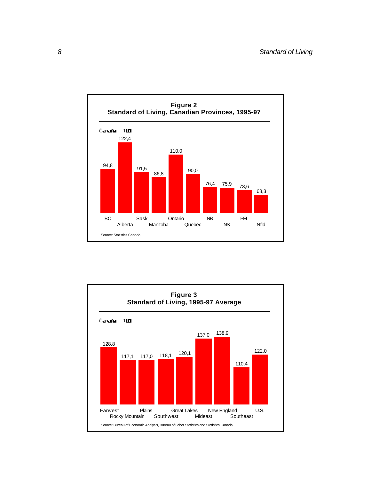

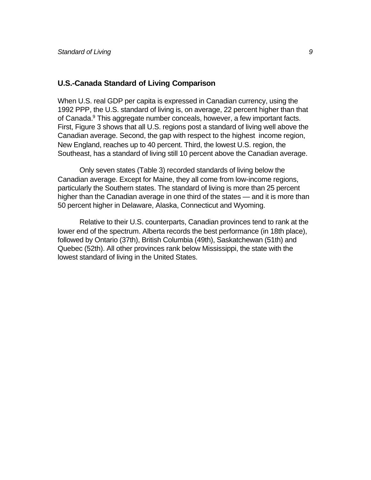#### **U.S.-Canada Standard of Living Comparison**

When U.S. real GDP per capita is expressed in Canadian currency, using the 1992 PPP, the U.S. standard of living is, on average, 22 percent higher than that of Canada.<sup>9</sup> This aggregate number conceals, however, a few important facts. First, Figure 3 shows that all U.S. regions post a standard of living well above the Canadian average. Second, the gap with respect to the highest income region, New England, reaches up to 40 percent. Third, the lowest U.S. region, the Southeast, has a standard of living still 10 percent above the Canadian average.

Only seven states (Table 3) recorded standards of living below the Canadian average. Except for Maine, they all come from low-income regions, particularly the Southern states. The standard of living is more than 25 percent higher than the Canadian average in one third of the states — and it is more than 50 percent higher in Delaware, Alaska, Connecticut and Wyoming.

Relative to their U.S. counterparts, Canadian provinces tend to rank at the lower end of the spectrum. Alberta records the best performance (in 18th place), followed by Ontario (37th), British Columbia (49th), Saskatchewan (51th) and Quebec (52th). All other provinces rank below Mississippi, the state with the lowest standard of living in the United States.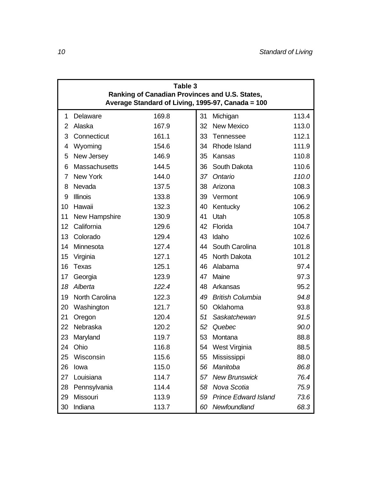| Table 3<br>Ranking of Canadian Provinces and U.S. States,<br>Average Standard of Living, 1995-97, Canada = 100 |                      |       |                                           |  |  |  |  |
|----------------------------------------------------------------------------------------------------------------|----------------------|-------|-------------------------------------------|--|--|--|--|
| 1                                                                                                              | Delaware             | 169.8 | 113.4<br>31<br>Michigan                   |  |  |  |  |
| 2                                                                                                              | Alaska               | 167.9 | <b>New Mexico</b><br>113.0<br>32          |  |  |  |  |
| 3                                                                                                              | Connecticut          | 161.1 | 33<br>112.1<br>Tennessee                  |  |  |  |  |
| 4                                                                                                              | Wyoming              | 154.6 | Rhode Island<br>111.9<br>34               |  |  |  |  |
| 5                                                                                                              | New Jersey           | 146.9 | 110.8<br>35<br>Kansas                     |  |  |  |  |
| 6                                                                                                              | <b>Massachusetts</b> | 144.5 | South Dakota<br>110.6<br>36               |  |  |  |  |
| 7                                                                                                              | <b>New York</b>      | 144.0 | 110.0<br>37<br>Ontario                    |  |  |  |  |
| 8                                                                                                              | Nevada               | 137.5 | Arizona<br>108.3<br>38                    |  |  |  |  |
| 9                                                                                                              | <b>Illinois</b>      | 133.8 | 106.9<br>39<br>Vermont                    |  |  |  |  |
| 10                                                                                                             | Hawaii               | 132.3 | 106.2<br>40<br>Kentucky                   |  |  |  |  |
| 11                                                                                                             | New Hampshire        | 130.9 | Utah<br>105.8<br>41                       |  |  |  |  |
| 12                                                                                                             | California           | 129.6 | Florida<br>104.7<br>42                    |  |  |  |  |
| 13                                                                                                             | Colorado             | 129.4 | Idaho<br>102.6<br>43                      |  |  |  |  |
| 14                                                                                                             | Minnesota            | 127.4 | South Carolina<br>101.8<br>44             |  |  |  |  |
| 15                                                                                                             | Virginia             | 127.1 | North Dakota<br>101.2<br>45               |  |  |  |  |
| 16                                                                                                             | <b>Texas</b>         | 125.1 | Alabama<br>97.4<br>46                     |  |  |  |  |
| 17                                                                                                             | Georgia              | 123.9 | 97.3<br>47<br>Maine                       |  |  |  |  |
| 18                                                                                                             | Alberta              | 122.4 | 95.2<br>48<br>Arkansas                    |  |  |  |  |
| 19                                                                                                             | North Carolina       | 122.3 | <b>British Columbia</b><br>94.8<br>49     |  |  |  |  |
| 20                                                                                                             | Washington           | 121.7 | Oklahoma<br>93.8<br>50                    |  |  |  |  |
| 21                                                                                                             | Oregon               | 120.4 | 51<br>Saskatchewan<br>91.5                |  |  |  |  |
| 22                                                                                                             | Nebraska             | 120.2 | 90.0<br>52<br>Quebec                      |  |  |  |  |
| 23                                                                                                             | Maryland             | 119.7 | 53<br>Montana<br>88.8                     |  |  |  |  |
| 24                                                                                                             | Ohio                 | 116.8 | West Virginia<br>88.5<br>54               |  |  |  |  |
| 25                                                                                                             | Wisconsin            | 115.6 | Mississippi<br>88.0<br>55                 |  |  |  |  |
| 26                                                                                                             | lowa                 | 115.0 | Manitoba<br>86.8<br>56                    |  |  |  |  |
| 27                                                                                                             | Louisiana            | 114.7 | <b>New Brunswick</b><br>76.4<br>57        |  |  |  |  |
| 28                                                                                                             | Pennsylvania         | 114.4 | Nova Scotia<br>75.9<br>58                 |  |  |  |  |
| 29                                                                                                             | Missouri             | 113.9 | <b>Prince Edward Island</b><br>73.6<br>59 |  |  |  |  |
| 30                                                                                                             | Indiana              | 113.7 | Newfoundland<br>68.3<br>60                |  |  |  |  |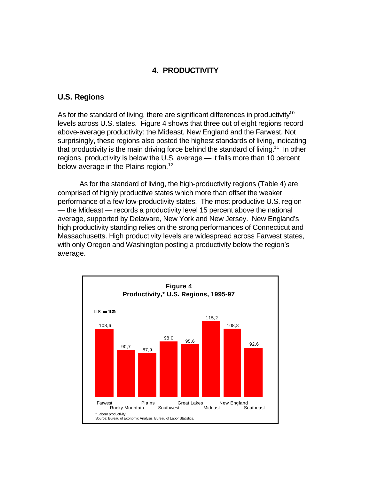## **4. PRODUCTIVITY**

#### **U.S. Regions**

As for the standard of living, there are significant differences in productivity<sup>10</sup> levels across U.S. states. Figure 4 shows that three out of eight regions record above-average productivity: the Mideast, New England and the Farwest. Not surprisingly, these regions also posted the highest standards of living, indicating that productivity is the main driving force behind the standard of living.<sup>11</sup> In other regions, productivity is below the U.S. average — it falls more than 10 percent below-average in the Plains region.<sup>12</sup>

As for the standard of living, the high-productivity regions (Table 4) are comprised of highly productive states which more than offset the weaker performance of a few low-productivity states. The most productive U.S. region — the Mideast — records a productivity level 15 percent above the national average, supported by Delaware, New York and New Jersey. New England's high productivity standing relies on the strong performances of Connecticut and Massachusetts. High productivity levels are widespread across Farwest states, with only Oregon and Washington posting a productivity below the region's average.

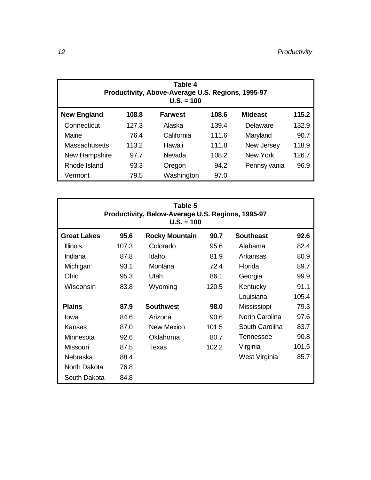| Table 4<br>Productivity, Above-Average U.S. Regions, 1995-97<br>$U.S. = 100$      |       |            |       |              |       |  |  |
|-----------------------------------------------------------------------------------|-------|------------|-------|--------------|-------|--|--|
| <b>New England</b><br><b>Mideast</b><br>115.2<br>108.8<br><b>Farwest</b><br>108.6 |       |            |       |              |       |  |  |
| Connecticut                                                                       | 127.3 | Alaska     | 139.4 | Delaware     | 132.9 |  |  |
| Maine<br>76.4                                                                     |       | California | 111.6 | Maryland     | 90.7  |  |  |
| Massachusetts                                                                     | 113.2 | Hawaii     | 111.8 | New Jersey   | 118.9 |  |  |
| New Hampshire<br>97.7                                                             |       | Nevada     | 108.2 | New York     | 126.7 |  |  |
| Rhode Island<br>93.3                                                              |       | Oregon     | 94.2  | Pennsylvania | 96.9  |  |  |
| Vermont                                                                           | 79.5  | Washington | 97.0  |              |       |  |  |

| Table 5<br>Productivity, Below-Average U.S. Regions, 1995-97<br>$U.S. = 100$ |       |                       |       |                  |       |  |  |
|------------------------------------------------------------------------------|-------|-----------------------|-------|------------------|-------|--|--|
| <b>Great Lakes</b>                                                           | 95.6  | <b>Rocky Mountain</b> | 90.7  | <b>Southeast</b> | 92.6  |  |  |
| <b>Illinois</b>                                                              | 107.3 | Colorado              | 95.6  | Alabama          | 82.4  |  |  |
| Indiana                                                                      | 87.8  | Idaho                 | 81.9  | Arkansas         | 80.9  |  |  |
| Michigan                                                                     | 93.1  | Montana               | 72.4  | Florida          | 89.7  |  |  |
| Ohio                                                                         | 95.3  | <b>Utah</b>           | 86.1  | Georgia          | 99.9  |  |  |
| Wisconsin                                                                    | 83.8  | Wyoming               | 120.5 | Kentucky         | 91.1  |  |  |
|                                                                              |       |                       |       | Louisiana        | 105.4 |  |  |
| <b>Plains</b>                                                                | 87.9  | <b>Southwest</b>      | 98.0  | Mississippi      | 79.3  |  |  |
| lowa                                                                         | 84.6  | Arizona               | 90.6  | North Carolina   | 97.6  |  |  |
| Kansas                                                                       | 87.0  | New Mexico            | 101.5 | South Carolina   | 83.7  |  |  |
| Minnesota                                                                    | 92.6  | Oklahoma              | 80.7  | Tennessee        | 90.8  |  |  |
| Missouri                                                                     | 87.5  | Texas                 | 102.2 | Virginia         | 101.5 |  |  |
| Nebraska                                                                     | 88.4  |                       |       | West Virginia    | 85.7  |  |  |
| North Dakota                                                                 | 76.8  |                       |       |                  |       |  |  |
| South Dakota                                                                 | 84.8  |                       |       |                  |       |  |  |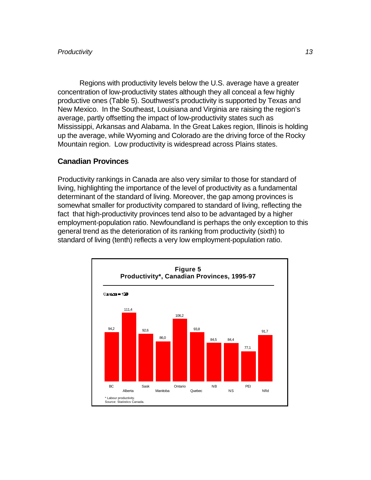Regions with productivity levels below the U.S. average have a greater concentration of low-productivity states although they all conceal a few highly productive ones (Table 5). Southwest's productivity is supported by Texas and New Mexico. In the Southeast, Louisiana and Virginia are raising the region's average, partly offsetting the impact of low-productivity states such as Mississippi, Arkansas and Alabama. In the Great Lakes region, Illinois is holding up the average, while Wyoming and Colorado are the driving force of the Rocky Mountain region. Low productivity is widespread across Plains states.

#### **Canadian Provinces**

Productivity rankings in Canada are also very similar to those for standard of living, highlighting the importance of the level of productivity as a fundamental determinant of the standard of living. Moreover, the gap among provinces is somewhat smaller for productivity compared to standard of living, reflecting the fact that high-productivity provinces tend also to be advantaged by a higher employment-population ratio. Newfoundland is perhaps the only exception to this general trend as the deterioration of its ranking from productivity (sixth) to standard of living (tenth) reflects a very low employment-population ratio.

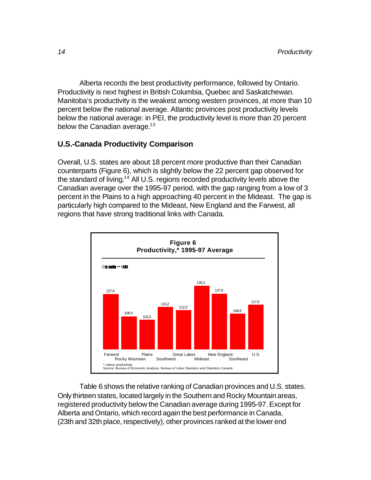Alberta records the best productivity performance, followed by Ontario. Productivity is next highest in British Columbia, Quebec and Saskatchewan. Manitoba's productivity is the weakest among western provinces, at more than 10 percent below the national average. Atlantic provinces post productivity levels below the national average: in PEI, the productivity level is more than 20 percent below the Canadian average. $13$ 

## **U.S.-Canada Productivity Comparison**

Overall, U.S. states are about 18 percent more productive than their Canadian counterparts (Figure 6), which is slightly below the 22 percent gap observed for the standard of living.<sup>14</sup> All U.S. regions recorded productivity levels above the Canadian average over the 1995-97 period, with the gap ranging from a low of 3 percent in the Plains to a high approaching 40 percent in the Mideast. The gap is particularly high compared to the Mideast, New England and the Farwest, all regions that have strong traditional links with Canada.



Table 6 shows the relative ranking of Canadian provinces and U.S. states. Only thirteen states, located largely in the Southern and Rocky Mountain areas, registered productivity below the Canadian average during 1995-97. Except for Alberta and Ontario, which record again the best performance in Canada, (23th and 32th place, respectively), other provinces ranked at the lower end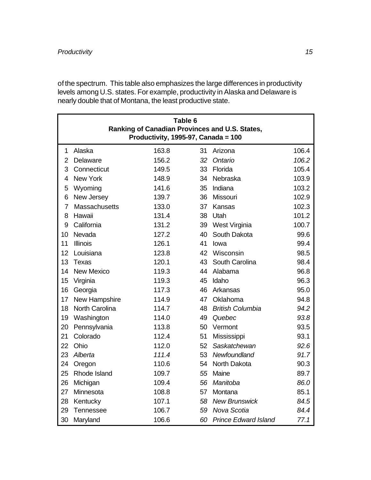of the spectrum. This table also emphasizes the large differences in productivity levels among U.S. states. For example, productivity in Alaska and Delaware is nearly double that of Montana, the least productive state.

| Table 6<br>Ranking of Canadian Provinces and U.S. States,<br>Productivity, 1995-97, Canada = 100 |                      |       |    |                             |       |  |  |
|--------------------------------------------------------------------------------------------------|----------------------|-------|----|-----------------------------|-------|--|--|
| 1                                                                                                | Alaska               | 163.8 | 31 | Arizona                     | 106.4 |  |  |
| $\overline{2}$                                                                                   | Delaware             | 156.2 | 32 | Ontario                     | 106.2 |  |  |
| 3                                                                                                | Connecticut          | 149.5 | 33 | Florida                     | 105.4 |  |  |
| 4                                                                                                | <b>New York</b>      | 148.9 | 34 | Nebraska                    | 103.9 |  |  |
| 5                                                                                                | Wyoming              | 141.6 | 35 | Indiana                     | 103.2 |  |  |
| 6                                                                                                | New Jersey           | 139.7 | 36 | Missouri                    | 102.9 |  |  |
| $\overline{7}$                                                                                   | <b>Massachusetts</b> | 133.0 | 37 | Kansas                      | 102.3 |  |  |
| 8                                                                                                | Hawaii               | 131.4 | 38 | Utah                        | 101.2 |  |  |
| 9                                                                                                | California           | 131.2 | 39 | West Virginia               | 100.7 |  |  |
| 10                                                                                               | Nevada               | 127.2 | 40 | South Dakota                | 99.6  |  |  |
| 11                                                                                               | <b>Illinois</b>      | 126.1 | 41 | lowa                        | 99.4  |  |  |
| 12                                                                                               | Louisiana            | 123.8 | 42 | Wisconsin                   | 98.5  |  |  |
| 13                                                                                               | <b>Texas</b>         | 120.1 | 43 | South Carolina              | 98.4  |  |  |
| 14                                                                                               | <b>New Mexico</b>    | 119.3 | 44 | Alabama                     | 96.8  |  |  |
| 15                                                                                               | Virginia             | 119.3 | 45 | Idaho                       | 96.3  |  |  |
| 16                                                                                               | Georgia              | 117.3 | 46 | Arkansas                    | 95.0  |  |  |
| 17                                                                                               | New Hampshire        | 114.9 | 47 | Oklahoma                    | 94.8  |  |  |
| 18                                                                                               | North Carolina       | 114.7 | 48 | <b>British Columbia</b>     | 94.2  |  |  |
| 19                                                                                               | Washington           | 114.0 | 49 | Quebec                      | 93.8  |  |  |
| 20                                                                                               | Pennsylvania         | 113.8 | 50 | Vermont                     | 93.5  |  |  |
| 21                                                                                               | Colorado             | 112.4 | 51 | Mississippi                 | 93.1  |  |  |
| 22                                                                                               | Ohio                 | 112.0 | 52 | Saskatchewan                | 92.6  |  |  |
| 23                                                                                               | Alberta              | 111.4 | 53 | Newfoundland                | 91.7  |  |  |
| 24                                                                                               | Oregon               | 110.6 | 54 | North Dakota                | 90.3  |  |  |
| 25                                                                                               | Rhode Island         | 109.7 | 55 | Maine                       | 89.7  |  |  |
| 26                                                                                               | Michigan             | 109.4 | 56 | Manitoba                    | 86.0  |  |  |
| 27                                                                                               | Minnesota            | 108.8 | 57 | Montana                     | 85.1  |  |  |
| 28                                                                                               | Kentucky             | 107.1 | 58 | <b>New Brunswick</b>        | 84.5  |  |  |
| 29                                                                                               | Tennessee            | 106.7 | 59 | Nova Scotia                 | 84.4  |  |  |
| 30                                                                                               | Maryland             | 106.6 | 60 | <b>Prince Edward Island</b> | 77.1  |  |  |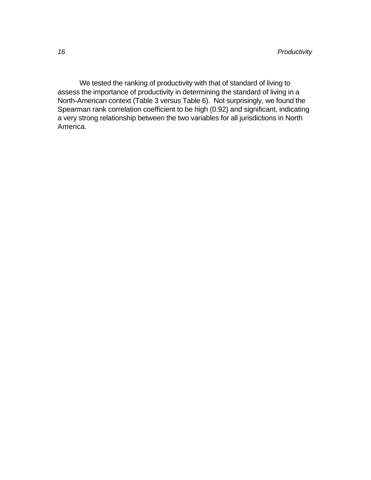We tested the ranking of productivity with that of standard of living to assess the importance of productivity in determining the standard of living in a North-American context (Table 3 versus Table 6). Not surprisingly, we found the Spearman rank correlation coefficient to be high (0.92) and significant, indicating a very strong relationship between the two variables for all jurisdictions in North America.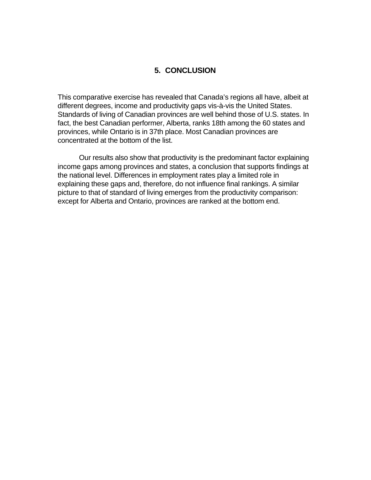## **5. CONCLUSION**

This comparative exercise has revealed that Canada's regions all have, albeit at different degrees, income and productivity gaps vis-à-vis the United States. Standards of living of Canadian provinces are well behind those of U.S. states. In fact, the best Canadian performer, Alberta, ranks 18th among the 60 states and provinces, while Ontario is in 37th place. Most Canadian provinces are concentrated at the bottom of the list.

Our results also show that productivity is the predominant factor explaining income gaps among provinces and states, a conclusion that supports findings at the national level. Differences in employment rates play a limited role in explaining these gaps and, therefore, do not influence final rankings. A similar picture to that of standard of living emerges from the productivity comparison: except for Alberta and Ontario, provinces are ranked at the bottom end.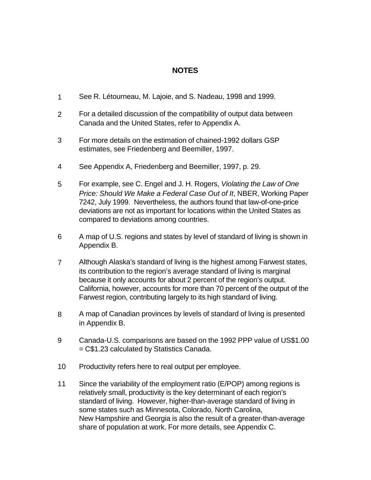## **NOTES**

- 1 See R. Létourneau, M. Lajoie, and S. Nadeau, 1998 and 1999.
- 2 For a detailed discussion of the compatibility of output data between Canada and the United States, refer to Appendix A.
- 3 For more details on the estimation of chained-1992 dollars GSP estimates, see Friedenberg and Beemiller, 1997.
- 4 See Appendix A, Friedenberg and Beemiller, 1997, p. 29.
- 5 For example, see C. Engel and J. H. Rogers, *Violating the Law of One Price: Should We Make a Federal Case Out of It*, NBER, Working Paper 7242, July 1999. Nevertheless, the authors found that law-of-one-price deviations are not as important for locations within the United States as compared to deviations among countries.
- 6 A map of U.S. regions and states by level of standard of living is shown in Appendix B.
- 7 Although Alaska's standard of living is the highest among Farwest states, its contribution to the region's average standard of living is marginal because it only accounts for about 2 percent of the region's output. California, however, accounts for more than 70 percent of the output of the Farwest region, contributing largely to its high standard of living.
- 8 A map of Canadian provinces by levels of standard of living is presented in Appendix B.
- 9 Canada-U.S. comparisons are based on the 1992 PPP value of US\$1.00 = C\$1.23 calculated by Statistics Canada.
- 10 Productivity refers here to real output per employee.
- 11 Since the variability of the employment ratio (E/POP) among regions is relatively small, productivity is the key determinant of each region's standard of living. However, higher-than-average standard of living in some states such as Minnesota, Colorado, North Carolina, New Hampshire and Georgia is also the result of a greater-than-average share of population at work. For more details, see Appendix C.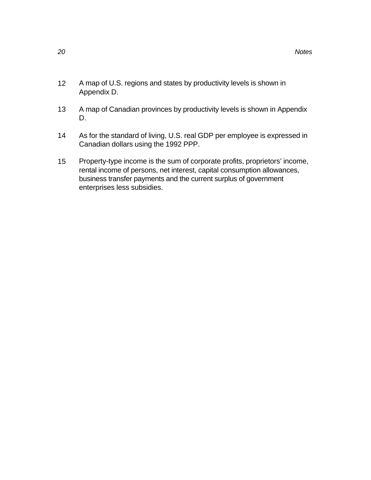- 12 A map of U.S. regions and states by productivity levels is shown in Appendix D.
- 13 A map of Canadian provinces by productivity levels is shown in Appendix D.
- 14 As for the standard of living, U.S. real GDP per employee is expressed in Canadian dollars using the 1992 PPP.
- 15 Property-type income is the sum of corporate profits, proprietors' income, rental income of persons, net interest, capital consumption allowances, business transfer payments and the current surplus of government enterprises less subsidies.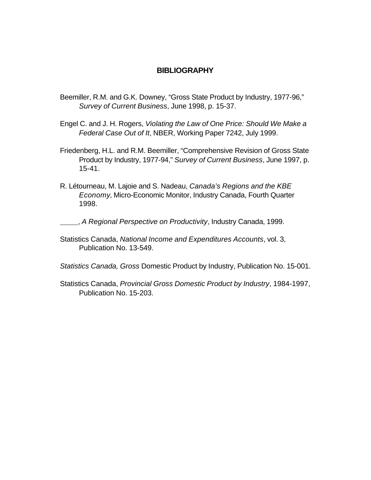#### **BIBLIOGRAPHY**

- Beemiller, R.M. and G.K. Downey, "Gross State Product by Industry, 1977-96," *Survey of Current Business*, June 1998, p. 15-37.
- Engel C. and J. H. Rogers, *Violating the Law of One Price: Should We Make a Federal Case Out of It*, NBER, Working Paper 7242, July 1999.
- Friedenberg, H.L. and R.M. Beemiller, "Comprehensive Revision of Gross State Product by Industry, 1977-94," *Survey of Current Business*, June 1997, p. 15-41.
- R. Létourneau, M. Lajoie and S. Nadeau, *Canada's Regions and the KBE Economy*, Micro-Economic Monitor, Industry Canada, Fourth Quarter 1998.

, *A Regional Perspective on Productivity*, Industry Canada, 1999.

Statistics Canada, *National Income and Expenditures Accounts*, vol. 3, Publication No. 13-549.

*Statistics Canada, Gross* Domestic Product by Industry, Publication No. 15-001.

Statistics Canada, *Provincial Gross Domestic Product by Industry*, 1984-1997, Publication No. 15-203.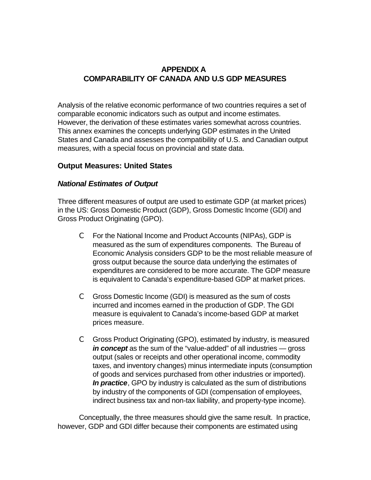## **APPENDIX A COMPARABILITY OF CANADA AND U.S GDP MEASURES**

Analysis of the relative economic performance of two countries requires a set of comparable economic indicators such as output and income estimates. However, the derivation of these estimates varies somewhat across countries. This annex examines the concepts underlying GDP estimates in the United States and Canada and assesses the compatibility of U.S. and Canadian output measures, with a special focus on provincial and state data.

## **Output Measures: United States**

## *National Estimates of Output*

Three different measures of output are used to estimate GDP (at market prices) in the US: Gross Domestic Product (GDP), Gross Domestic Income (GDI) and Gross Product Originating (GPO).

- C For the National Income and Product Accounts (NIPAs), GDP is measured as the sum of expenditures components. The Bureau of Economic Analysis considers GDP to be the most reliable measure of gross output because the source data underlying the estimates of expenditures are considered to be more accurate. The GDP measure is equivalent to Canada's expenditure-based GDP at market prices.
- C Gross Domestic Income (GDI) is measured as the sum of costs incurred and incomes earned in the production of GDP. The GDI measure is equivalent to Canada's income-based GDP at market prices measure.
- C Gross Product Originating (GPO), estimated by industry, is measured *in concept* as the sum of the "value-added" of all industries — gross output (sales or receipts and other operational income, commodity taxes, and inventory changes) minus intermediate inputs (consumption of goods and services purchased from other industries or imported). *In practice*, GPO by industry is calculated as the sum of distributions by industry of the components of GDI (compensation of employees, indirect business tax and non-tax liability, and property-type income).

Conceptually, the three measures should give the same result. In practice, however, GDP and GDI differ because their components are estimated using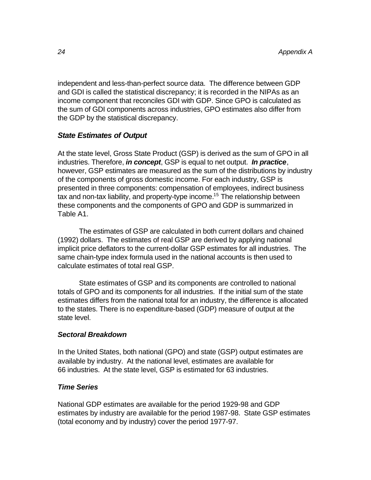independent and less-than-perfect source data. The difference between GDP and GDI is called the statistical discrepancy; it is recorded in the NIPAs as an income component that reconciles GDI with GDP. Since GPO is calculated as the sum of GDI components across industries, GPO estimates also differ from the GDP by the statistical discrepancy.

## *State Estimates of Output*

At the state level, Gross State Product (GSP) is derived as the sum of GPO in all industries. Therefore, *in concept*, GSP is equal to net output. *In practice*, however, GSP estimates are measured as the sum of the distributions by industry of the components of gross domestic income. For each industry, GSP is presented in three components: compensation of employees, indirect business tax and non-tax liability, and property-type income.<sup>15</sup> The relationship between these components and the components of GPO and GDP is summarized in Table A1.

The estimates of GSP are calculated in both current dollars and chained (1992) dollars. The estimates of real GSP are derived by applying national implicit price deflators to the current-dollar GSP estimates for all industries. The same chain-type index formula used in the national accounts is then used to calculate estimates of total real GSP.

State estimates of GSP and its components are controlled to national totals of GPO and its components for all industries. If the initial sum of the state estimates differs from the national total for an industry, the difference is allocated to the states. There is no expenditure-based (GDP) measure of output at the state level.

#### *Sectoral Breakdown*

In the United States, both national (GPO) and state (GSP) output estimates are available by industry. At the national level, estimates are available for 66 industries. At the state level, GSP is estimated for 63 industries.

#### *Time Series*

National GDP estimates are available for the period 1929-98 and GDP estimates by industry are available for the period 1987-98. State GSP estimates (total economy and by industry) cover the period 1977-97.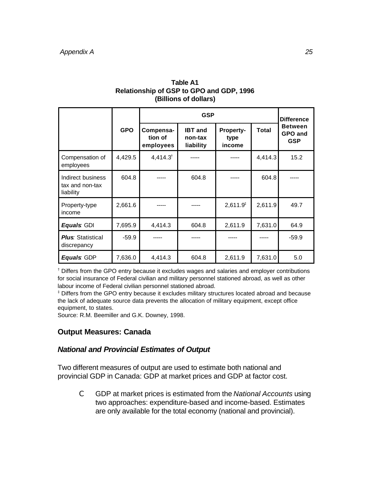| <b>Relationship of GSP to GPO and GDP, 1996</b><br>(Billions of dollars) |            |                                   |                                        |                                    |              |                                                |  |  |
|--------------------------------------------------------------------------|------------|-----------------------------------|----------------------------------------|------------------------------------|--------------|------------------------------------------------|--|--|
|                                                                          |            |                                   | <b>Difference</b>                      |                                    |              |                                                |  |  |
|                                                                          | <b>GPO</b> | Compensa-<br>tion of<br>employees | <b>IBT</b> and<br>non-tax<br>liability | <b>Property-</b><br>type<br>income | <b>Total</b> | <b>Between</b><br><b>GPO and</b><br><b>GSP</b> |  |  |
| Compensation of<br>employees                                             | 4,429.5    | $4,414.3$ <sup>†</sup>            | -----                                  | -----                              | 4,414.3      | 15.2                                           |  |  |
|                                                                          |            |                                   |                                        |                                    |              |                                                |  |  |

**Table A1**

| Indirect business<br>tax and non-tax<br>liability | 604.8   |         | 604.8 |                      | 604.8   | -----   |
|---------------------------------------------------|---------|---------|-------|----------------------|---------|---------|
| Property-type<br>income                           | 2,661.6 |         |       | 2,611.9 <sup>‡</sup> | 2,611.9 | 49.7    |
| <b>Equals: GDI</b>                                | 7,695.9 | 4,414.3 | 604.8 | 2,611.9              | 7,631.0 | 64.9    |
| <b>Plus: Statistical</b><br>discrepancy           | $-59.9$ |         |       |                      |         | $-59.9$ |
| <b>Equals: GDP</b>                                | 7,636.0 | 4,414.3 | 604.8 | 2,611.9              | 7,631.0 | 5.0     |

† Differs from the GPO entry because it excludes wages and salaries and employer contributions for social insurance of Federal civilian and military personnel stationed abroad, as well as other labour income of Federal civilian personnel stationed abroad.

‡ Differs from the GPO entry because it excludes military structures located abroad and because the lack of adequate source data prevents the allocation of military equipment, except office equipment, to states.

Source: R.M. Beemiller and G.K. Downey, 1998.

## **Output Measures: Canada**

## *National and Provincial Estimates of Output*

Two different measures of output are used to estimate both national and provincial GDP in Canada: GDP at market prices and GDP at factor cost.

C GDP at market prices is estimated from the *National Accounts* using two approaches: expenditure-based and income-based. Estimates are only available for the total economy (national and provincial).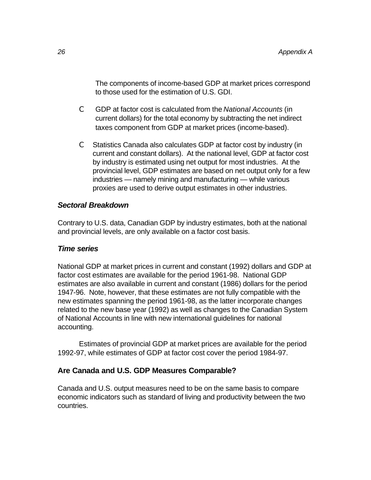The components of income-based GDP at market prices correspond to those used for the estimation of U.S. GDI.

- C GDP at factor cost is calculated from the *National Accounts* (in current dollars) for the total economy by subtracting the net indirect taxes component from GDP at market prices (income-based).
- C Statistics Canada also calculates GDP at factor cost by industry (in current and constant dollars). At the national level, GDP at factor cost by industry is estimated using net output for most industries. At the provincial level, GDP estimates are based on net output only for a few industries — namely mining and manufacturing — while various proxies are used to derive output estimates in other industries.

## *Sectoral Breakdown*

Contrary to U.S. data, Canadian GDP by industry estimates, both at the national and provincial levels, are only available on a factor cost basis.

## *Time series*

National GDP at market prices in current and constant (1992) dollars and GDP at factor cost estimates are available for the period 1961-98. National GDP estimates are also available in current and constant (1986) dollars for the period 1947-96. Note, however, that these estimates are not fully compatible with the new estimates spanning the period 1961-98, as the latter incorporate changes related to the new base year (1992) as well as changes to the Canadian System of National Accounts in line with new international guidelines for national accounting.

Estimates of provincial GDP at market prices are available for the period 1992-97, while estimates of GDP at factor cost cover the period 1984-97.

## **Are Canada and U.S. GDP Measures Comparable?**

Canada and U.S. output measures need to be on the same basis to compare economic indicators such as standard of living and productivity between the two countries.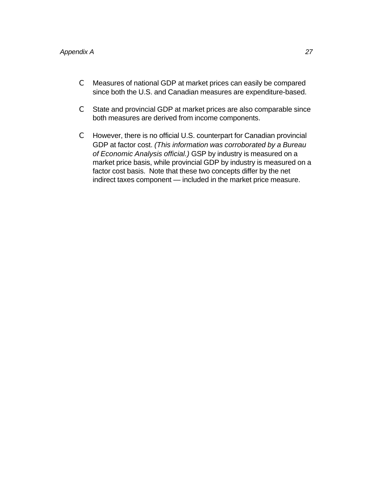- C Measures of national GDP at market prices can easily be compared since both the U.S. and Canadian measures are expenditure-based.
- C State and provincial GDP at market prices are also comparable since both measures are derived from income components.
- C However, there is no official U.S. counterpart for Canadian provincial GDP at factor cost. *(This information was corroborated by a Bureau of Economic Analysis official.)* GSP by industry is measured on a market price basis, while provincial GDP by industry is measured on a factor cost basis. Note that these two concepts differ by the net indirect taxes component — included in the market price measure.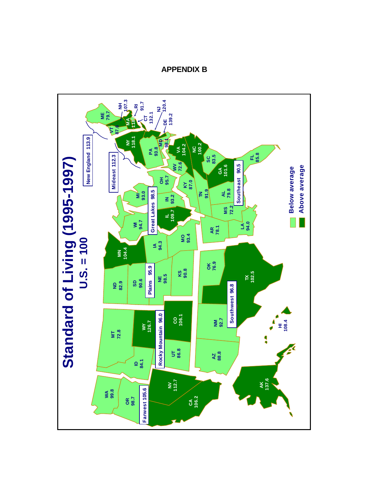

**APPENDIX B**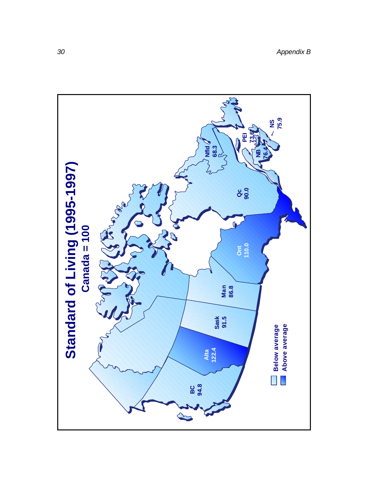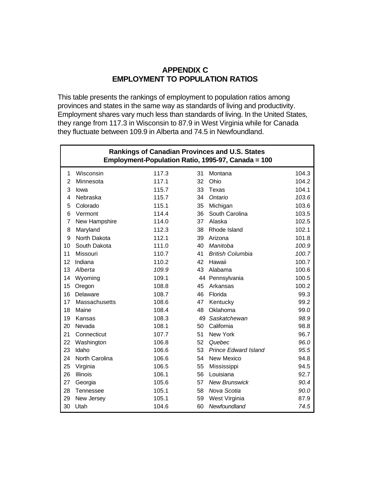## **APPENDIX C EMPLOYMENT TO POPULATION RATIOS**

This table presents the rankings of employment to population ratios among provinces and states in the same way as standards of living and productivity. Employment shares vary much less than standards of living. In the United States, they range from 117.3 in Wisconsin to 87.9 in West Virginia while for Canada they fluctuate between 109.9 in Alberta and 74.5 in Newfoundland.

|                | <b>Rankings of Canadian Provinces and U.S. States</b><br>Employment-Population Ratio, 1995-97, Canada = 100 |       |    |                             |       |  |  |  |
|----------------|-------------------------------------------------------------------------------------------------------------|-------|----|-----------------------------|-------|--|--|--|
| 1              | Wisconsin                                                                                                   | 117.3 | 31 | Montana                     | 104.3 |  |  |  |
| $\overline{2}$ | Minnesota                                                                                                   | 117.1 | 32 | Ohio                        | 104.2 |  |  |  |
| 3              | lowa                                                                                                        | 115.7 | 33 | Texas                       | 104.1 |  |  |  |
| 4              | Nebraska                                                                                                    | 115.7 | 34 | Ontario                     | 103.6 |  |  |  |
| 5              | Colorado                                                                                                    | 115.1 | 35 | Michigan                    | 103.6 |  |  |  |
| 6              | Vermont                                                                                                     | 114.4 | 36 | South Carolina              | 103.5 |  |  |  |
| $\overline{7}$ | New Hampshire                                                                                               | 114.0 | 37 | Alaska                      | 102.5 |  |  |  |
| 8              | Maryland                                                                                                    | 112.3 | 38 | Rhode Island                | 102.1 |  |  |  |
| 9              | North Dakota                                                                                                | 112.1 | 39 | Arizona                     | 101.8 |  |  |  |
| 10             | South Dakota                                                                                                | 111.0 | 40 | Manitoba                    | 100.9 |  |  |  |
| 11             | Missouri                                                                                                    | 110.7 | 41 | <b>British Columbia</b>     | 100.7 |  |  |  |
| 12             | Indiana                                                                                                     | 110.2 | 42 | Hawaii                      | 100.7 |  |  |  |
| 13             | Alberta                                                                                                     | 109.9 | 43 | Alabama                     | 100.6 |  |  |  |
| 14             | Wyoming                                                                                                     | 109.1 |    | 44 Pennsylvania             | 100.5 |  |  |  |
| 15             | Oregon                                                                                                      | 108.8 | 45 | Arkansas                    | 100.2 |  |  |  |
| 16             | Delaware                                                                                                    | 108.7 | 46 | Florida                     | 99.3  |  |  |  |
| 17             | Massachusetts                                                                                               | 108.6 | 47 | Kentucky                    | 99.2  |  |  |  |
| 18             | Maine                                                                                                       | 108.4 | 48 | Oklahoma                    | 99.0  |  |  |  |
| 19             | Kansas                                                                                                      | 108.3 | 49 | Saskatchewan                | 98.9  |  |  |  |
| 20             | Nevada                                                                                                      | 108.1 | 50 | California                  | 98.8  |  |  |  |
| 21             | Connecticut                                                                                                 | 107.7 | 51 | New York                    | 96.7  |  |  |  |
| 22             | Washington                                                                                                  | 106.8 | 52 | Quebec                      | 96.0  |  |  |  |
| 23             | Idaho                                                                                                       | 106.6 | 53 | <b>Prince Edward Island</b> | 95.5  |  |  |  |
| 24             | North Carolina                                                                                              | 106.6 | 54 | New Mexico                  | 94.8  |  |  |  |
| 25             | Virginia                                                                                                    | 106.5 | 55 | Mississippi                 | 94.5  |  |  |  |
| 26             | Illinois                                                                                                    | 106.1 | 56 | Louisiana                   | 92.7  |  |  |  |
| 27             | Georgia                                                                                                     | 105.6 | 57 | <b>New Brunswick</b>        | 90.4  |  |  |  |
| 28             | Tennessee                                                                                                   | 105.1 | 58 | Nova Scotia                 | 90.0  |  |  |  |
| 29             | New Jersey                                                                                                  | 105.1 | 59 | West Virginia               | 87.9  |  |  |  |
| 30             | Utah                                                                                                        | 104.6 | 60 | Newfoundland                | 74.5  |  |  |  |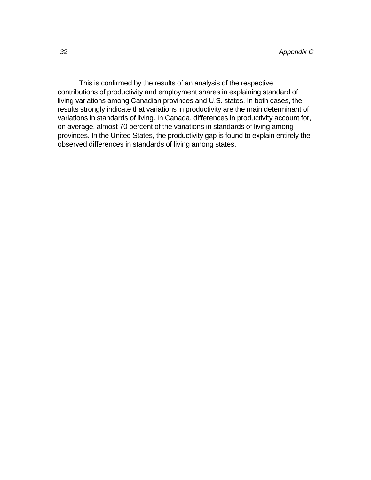This is confirmed by the results of an analysis of the respective contributions of productivity and employment shares in explaining standard of living variations among Canadian provinces and U.S. states. In both cases, the results strongly indicate that variations in productivity are the main determinant of variations in standards of living. In Canada, differences in productivity account for, on average, almost 70 percent of the variations in standards of living among provinces. In the United States, the productivity gap is found to explain entirely the observed differences in standards of living among states.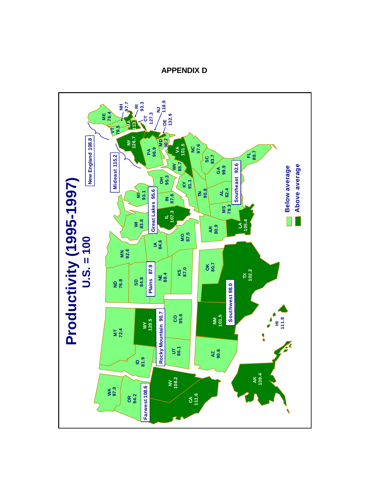

**APPENDIX D**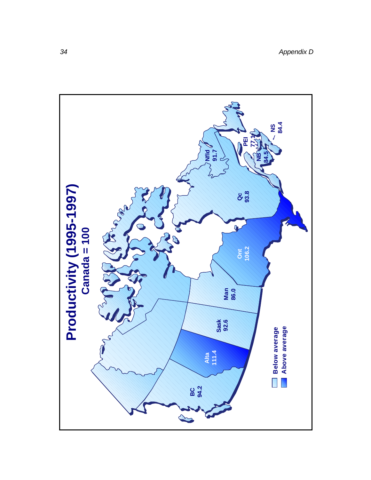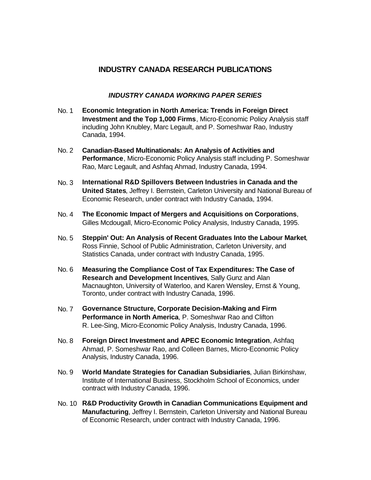## **INDUSTRY CANADA RESEARCH PUBLICATIONS**

#### *INDUSTRY CANADA WORKING PAPER SERIES*

- No. 1 **Economic Integration in North America: Trends in Foreign Direct Investment and the Top 1,000 Firms**, Micro-Economic Policy Analysis staff including John Knubley, Marc Legault, and P. Someshwar Rao, Industry Canada, 1994.
- No. 2 **Canadian-Based Multinationals: An Analysis of Activities and Performance**, Micro-Economic Policy Analysis staff including P. Someshwar Rao, Marc Legault, and Ashfaq Ahmad, Industry Canada, 1994.
- No. 3 **International R&D Spillovers Between Industries in Canada and the United States**, Jeffrey I. Bernstein, Carleton University and National Bureau of Economic Research, under contract with Industry Canada, 1994.
- No. 4 **The Economic Impact of Mergers and Acquisitions on Corporations**, Gilles Mcdougall, Micro-Economic Policy Analysis, Industry Canada, 1995.
- No. 5 **Steppin' Out: An Analysis of Recent Graduates Into the Labour Market**, Ross Finnie, School of Public Administration, Carleton University, and Statistics Canada, under contract with Industry Canada, 1995.
- No. 6 **Measuring the Compliance Cost of Tax Expenditures: The Case of Research and Development Incentives**, Sally Gunz and Alan Macnaughton, University of Waterloo, and Karen Wensley, Ernst & Young, Toronto, under contract with Industry Canada, 1996.
- No. 7 **Governance Structure, Corporate Decision-Making and Firm Performance in North America**, P. Someshwar Rao and Clifton R. Lee-Sing, Micro-Economic Policy Analysis, Industry Canada, 1996.
- No. 8 **Foreign Direct Investment and APEC Economic Integration**, Ashfaq Ahmad, P. Someshwar Rao, and Colleen Barnes, Micro-Economic Policy Analysis, Industry Canada, 1996.
- No. 9 **World Mandate Strategies for Canadian Subsidiaries**, Julian Birkinshaw, Institute of International Business, Stockholm School of Economics, under contract with Industry Canada, 1996.
- No. 10 **R&D Productivity Growth in Canadian Communications Equipment and Manufacturing**, Jeffrey I. Bernstein, Carleton University and National Bureau of Economic Research, under contract with Industry Canada, 1996.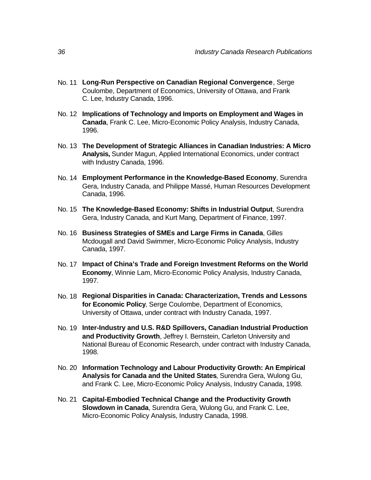- No. 11 **Long-Run Perspective on Canadian Regional Convergence**, Serge Coulombe, Department of Economics, University of Ottawa, and Frank C. Lee, Industry Canada, 1996.
- No. 12 **Implications of Technology and Imports on Employment and Wages in Canada**, Frank C. Lee, Micro-Economic Policy Analysis, Industry Canada, 1996.
- No. 13 **The Development of Strategic Alliances in Canadian Industries: A Micro Analysis,** Sunder Magun, Applied International Economics, under contract with Industry Canada, 1996.
- No. 14 **Employment Performance in the Knowledge-Based Economy**, Surendra Gera, Industry Canada, and Philippe Massé, Human Resources Development Canada, 1996.
- No. 15 **The Knowledge-Based Economy: Shifts in Industrial Output**, Surendra Gera, Industry Canada, and Kurt Mang, Department of Finance, 1997.
- No. 16 **Business Strategies of SMEs and Large Firms in Canada**, Gilles Mcdougall and David Swimmer, Micro-Economic Policy Analysis, Industry Canada, 1997.
- No. 17 **Impact of China's Trade and Foreign Investment Reforms on the World Economy**, Winnie Lam, Micro-Economic Policy Analysis, Industry Canada, 1997.
- No. 18 **Regional Disparities in Canada: Characterization, Trends and Lessons for Economic Policy**, Serge Coulombe, Department of Economics, University of Ottawa, under contract with Industry Canada, 1997.
- No. 19 **Inter-Industry and U.S. R&D Spillovers, Canadian Industrial Production and Productivity Growth**, Jeffrey I. Bernstein, Carleton University and National Bureau of Economic Research, under contract with Industry Canada, 1998.
- No. 20 **Information Technology and Labour Productivity Growth: An Empirical Analysis for Canada and the United States**, Surendra Gera, Wulong Gu, and Frank C. Lee, Micro-Economic Policy Analysis, Industry Canada, 1998.
- No. 21 **Capital-Embodied Technical Change and the Productivity Growth Slowdown in Canada**, Surendra Gera, Wulong Gu, and Frank C. Lee, Micro-Economic Policy Analysis, Industry Canada, 1998.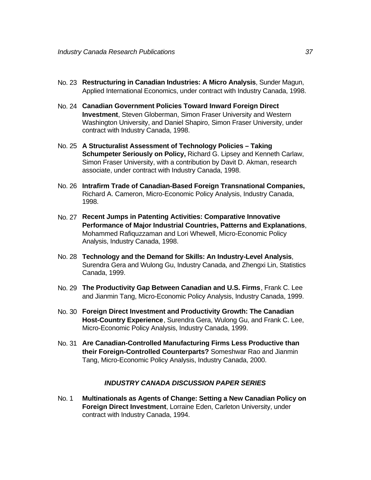- No. 23 **Restructuring in Canadian Industries: A Micro Analysis**, Sunder Magun, Applied International Economics, under contract with Industry Canada, 1998.
- No. 24 **Canadian Government Policies Toward Inward Foreign Direct Investment**, Steven Globerman, Simon Fraser University and Western Washington University, and Daniel Shapiro, Simon Fraser University, under contract with Industry Canada, 1998.
- No. 25 **A Structuralist Assessment of Technology Policies Taking Schumpeter Seriously on Policy,** Richard G. Lipsey and Kenneth Carlaw, Simon Fraser University, with a contribution by Davit D. Akman, research associate, under contract with Industry Canada, 1998.
- No. 26 **Intrafirm Trade of Canadian-Based Foreign Transnational Companies,** Richard A. Cameron, Micro-Economic Policy Analysis, Industry Canada, 1998.
- No. 27 **Recent Jumps in Patenting Activities: Comparative Innovative Performance of Major Industrial Countries, Patterns and Explanations**, Mohammed Rafiquzzaman and Lori Whewell, Micro-Economic Policy Analysis, Industry Canada, 1998.
- No. 28 **Technology and the Demand for Skills: An Industry-Level Analysis**, Surendra Gera and Wulong Gu, Industry Canada, and Zhengxi Lin, Statistics Canada, 1999.
- No. 29 **The Productivity Gap Between Canadian and U.S. Firms**, Frank C. Lee and Jianmin Tang, Micro-Economic Policy Analysis, Industry Canada, 1999.
- No. 30 **Foreign Direct Investment and Productivity Growth: The Canadian Host-Country Experience**, Surendra Gera, Wulong Gu, and Frank C. Lee, Micro-Economic Policy Analysis, Industry Canada, 1999.
- No. 31 **Are Canadian-Controlled Manufacturing Firms Less Productive than their Foreign-Controlled Counterparts?** Someshwar Rao and Jianmin Tang, Micro-Economic Policy Analysis, Industry Canada, 2000.

#### *INDUSTRY CANADA DISCUSSION PAPER SERIES*

No. 1 **Multinationals as Agents of Change: Setting a New Canadian Policy on Foreign Direct Investment**, Lorraine Eden, Carleton University, under contract with Industry Canada, 1994.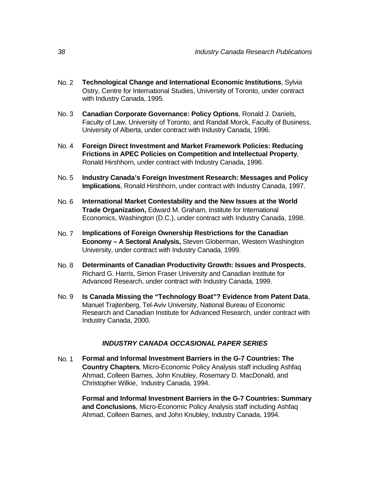- No. 2 **Technological Change and International Economic Institutions**, Sylvia Ostry, Centre for International Studies, University of Toronto, under contract with Industry Canada, 1995.
- No. 3 **Canadian Corporate Governance: Policy Options**, Ronald J. Daniels, Faculty of Law, University of Toronto, and Randall Morck, Faculty of Business, University of Alberta, under contract with Industry Canada, 1996.
- No. 4 **Foreign Direct Investment and Market Framework Policies: Reducing Frictions in APEC Policies on Competition and Intellectual Property**, Ronald Hirshhorn, under contract with Industry Canada, 1996.
- No. 5 **Industry Canada's Foreign Investment Research: Messages and Policy Implications**, Ronald Hirshhorn, under contract with Industry Canada, 1997.
- No. 6 **International Market Contestability and the New Issues at the World Trade Organization,** Edward M. Graham, Institute for International Economics, Washington (D.C.), under contract with Industry Canada, 1998.
- No. 7 **Implications of Foreign Ownership Restrictions for the Canadian Economy – A Sectoral Analysis,** Steven Globerman, Western Washington University, under contract with Industry Canada, 1999.
- No. 8 **Determinants of Canadian Productivity Growth: Issues and Prospects**, Richard G. Harris, Simon Fraser University and Canadian Institute for Advanced Research, under contract with Industry Canada, 1999.
- No. 9 **Is Canada Missing the "Technology Boat"? Evidence from Patent Data**, Manuel Trajtenberg, Tel-Aviv University, National Bureau of Economic Research and Canadian Institute for Advanced Research, under contract with Industry Canada, 2000.

#### *INDUSTRY CANADA OCCASIONAL PAPER SERIES*

No. 1 **Formal and Informal Investment Barriers in the G-7 Countries: The Country Chapters**, Micro-Economic Policy Analysis staff including Ashfaq Ahmad, Colleen Barnes, John Knubley, Rosemary D. MacDonald, and Christopher Wilkie, Industry Canada, 1994.

**Formal and Informal Investment Barriers in the G-7 Countries: Summary and Conclusions**, Micro-Economic Policy Analysis staff including Ashfaq Ahmad, Colleen Barnes, and John Knubley, Industry Canada, 1994.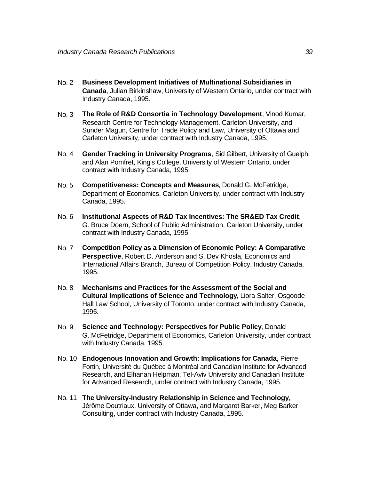- No. 2 **Business Development Initiatives of Multinational Subsidiaries in Canada**, Julian Birkinshaw, University of Western Ontario, under contract with Industry Canada, 1995.
- No. 3 **The Role of R&D Consortia in Technology Development**, Vinod Kumar, Research Centre for Technology Management, Carleton University, and Sunder Magun, Centre for Trade Policy and Law, University of Ottawa and Carleton University, under contract with Industry Canada, 1995.
- No. 4 **Gender Tracking in University Programs**, Sid Gilbert, University of Guelph, and Alan Pomfret, King's College, University of Western Ontario, under contract with Industry Canada, 1995.
- No. 5 **Competitiveness: Concepts and Measures**, Donald G. McFetridge, Department of Economics, Carleton University, under contract with Industry Canada, 1995.
- No. 6 **Institutional Aspects of R&D Tax Incentives: The SR&ED Tax Credit**, G. Bruce Doern, School of Public Administration, Carleton University, under contract with Industry Canada, 1995.
- No. 7 **Competition Policy as a Dimension of Economic Policy: A Comparative Perspective**, Robert D. Anderson and S. Dev Khosla, Economics and International Affairs Branch, Bureau of Competition Policy, Industry Canada, 1995.
- No. 8 **Mechanisms and Practices for the Assessment of the Social and Cultural Implications of Science and Technology**, Liora Salter, Osgoode Hall Law School, University of Toronto, under contract with Industry Canada, 1995.
- No. 9 **Science and Technology: Perspectives for Public Policy**, Donald G. McFetridge, Department of Economics, Carleton University, under contract with Industry Canada, 1995.
- No. 10 **Endogenous Innovation and Growth: Implications for Canada**, Pierre Fortin, Université du Québec à Montréal and Canadian Institute for Advanced Research, and Elhanan Helpman, Tel-Aviv University and Canadian Institute for Advanced Research, under contract with Industry Canada, 1995.
- No. 11 **The University-Industry Relationship in Science and Technology**, Jérôme Doutriaux, University of Ottawa, and Margaret Barker, Meg Barker Consulting, under contract with Industry Canada, 1995.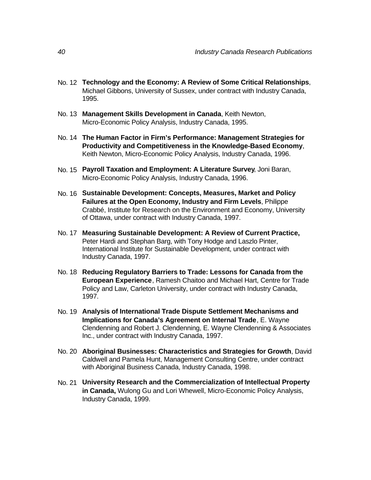- No. 12 **Technology and the Economy: A Review of Some Critical Relationships**, Michael Gibbons, University of Sussex, under contract with Industry Canada, 1995.
- No. 13 **Management Skills Development in Canada**, Keith Newton, Micro-Economic Policy Analysis, Industry Canada, 1995.
- No. 14 **The Human Factor in Firm's Performance: Management Strategies for Productivity and Competitiveness in the Knowledge-Based Economy**, Keith Newton, Micro-Economic Policy Analysis, Industry Canada, 1996.
- No. 15 **Payroll Taxation and Employment: A Literature Survey**, Joni Baran, Micro-Economic Policy Analysis, Industry Canada, 1996.
- No. 16 **Sustainable Development: Concepts, Measures, Market and Policy Failures at the Open Economy, Industry and Firm Levels**, Philippe Crabbé, Institute for Research on the Environment and Economy, University of Ottawa, under contract with Industry Canada, 1997.
- No. 17 **Measuring Sustainable Development: A Review of Current Practice,** Peter Hardi and Stephan Barg, with Tony Hodge and Laszlo Pinter, International Institute for Sustainable Development, under contract with Industry Canada, 1997.
- No. 18 **Reducing Regulatory Barriers to Trade: Lessons for Canada from the European Experience**, Ramesh Chaitoo and Michael Hart, Centre for Trade Policy and Law, Carleton University, under contract with Industry Canada, 1997.
- No. 19 **Analysis of International Trade Dispute Settlement Mechanisms and Implications for Canada's Agreement on Internal Trade**, E. Wayne Clendenning and Robert J. Clendenning, E. Wayne Clendenning & Associates Inc., under contract with Industry Canada, 1997.
- No. 20 **Aboriginal Businesses: Characteristics and Strategies for Growth**, David Caldwell and Pamela Hunt, Management Consulting Centre, under contract with Aboriginal Business Canada, Industry Canada, 1998.
- No. 21 **University Research and the Commercialization of Intellectual Property in Canada,** Wulong Gu and Lori Whewell, Micro-Economic Policy Analysis, Industry Canada, 1999.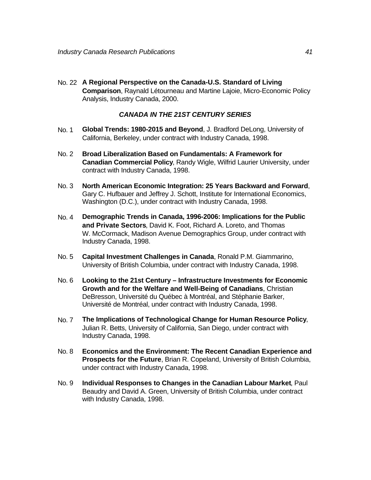No. 22 **A Regional Perspective on the Canada-U.S. Standard of Living Comparison**, Raynald Létourneau and Martine Lajoie, Micro-Economic Policy Analysis, Industry Canada, 2000.

#### *CANADA IN THE 21ST CENTURY SERIES*

- No. 1 **Global Trends: 1980-2015 and Beyond**, J. Bradford DeLong, University of California, Berkeley, under contract with Industry Canada, 1998.
- No. 2 **Broad Liberalization Based on Fundamentals: A Framework for Canadian Commercial Policy**, Randy Wigle, Wilfrid Laurier University, under contract with Industry Canada, 1998.
- No. 3 **North American Economic Integration: 25 Years Backward and Forward**, Gary C. Hufbauer and Jeffrey J. Schott, Institute for International Economics, Washington (D.C.), under contract with Industry Canada, 1998.
- No. 4 **Demographic Trends in Canada, 1996-2006: Implications for the Public and Private Sectors**, David K. Foot, Richard A. Loreto, and Thomas W. McCormack, Madison Avenue Demographics Group, under contract with Industry Canada, 1998.
- No. 5 **Capital Investment Challenges in Canada**, Ronald P.M. Giammarino, University of British Columbia, under contract with Industry Canada, 1998.
- No. 6 **Looking to the 21st Century Infrastructure Investments for Economic Growth and for the Welfare and Well-Being of Canadians**, Christian DeBresson, Université du Québec à Montréal, and Stéphanie Barker, Université de Montréal, under contract with Industry Canada, 1998.
- No. 7 **The Implications of Technological Change for Human Resource Policy**, Julian R. Betts, University of California, San Diego, under contract with Industry Canada, 1998.
- No. 8 **Economics and the Environment: The Recent Canadian Experience and Prospects for the Future**, Brian R. Copeland, University of British Columbia, under contract with Industry Canada, 1998.
- No. 9 **Individual Responses to Changes in the Canadian Labour Market**, Paul Beaudry and David A. Green, University of British Columbia, under contract with Industry Canada, 1998.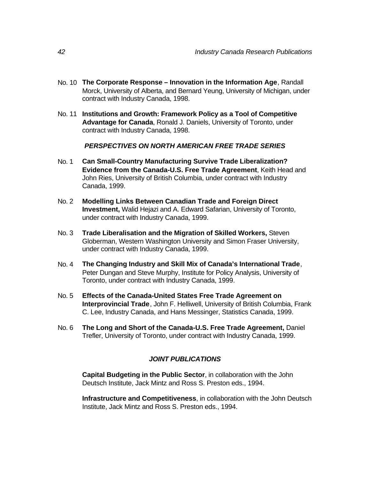- No. 10 **The Corporate Response Innovation in the Information Age**, Randall Morck, University of Alberta, and Bernard Yeung, University of Michigan, under contract with Industry Canada, 1998.
- No. 11 **Institutions and Growth: Framework Policy as a Tool of Competitive Advantage for Canada**, Ronald J. Daniels, University of Toronto, under contract with Industry Canada, 1998.

#### *PERSPECTIVES ON NORTH AMERICAN FREE TRADE SERIES*

- No. 1 **Can Small-Country Manufacturing Survive Trade Liberalization? Evidence from the Canada-U.S. Free Trade Agreement**, Keith Head and John Ries, University of British Columbia, under contract with Industry Canada, 1999.
- No. 2 **Modelling Links Between Canadian Trade and Foreign Direct Investment,** Walid Hejazi and A. Edward Safarian, University of Toronto, under contract with Industry Canada, 1999.
- No. 3 **Trade Liberalisation and the Migration of Skilled Workers,** Steven Globerman, Western Washington University and Simon Fraser University, under contract with Industry Canada, 1999.
- No. 4 **The Changing Industry and Skill Mix of Canada's International Trade**, Peter Dungan and Steve Murphy, Institute for Policy Analysis, University of Toronto, under contract with Industry Canada, 1999.
- No. 5 **Effects of the Canada-United States Free Trade Agreement on Interprovincial Trade**, John F. Helliwell, University of British Columbia, Frank C. Lee, Industry Canada, and Hans Messinger, Statistics Canada, 1999.
- No. 6 **The Long and Short of the Canada-U.S. Free Trade Agreement,** Daniel Trefler, University of Toronto, under contract with Industry Canada, 1999.

#### *JOINT PUBLICATIONS*

**Capital Budgeting in the Public Sector**, in collaboration with the John Deutsch Institute, Jack Mintz and Ross S. Preston eds., 1994.

**Infrastructure and Competitiveness**, in collaboration with the John Deutsch Institute, Jack Mintz and Ross S. Preston eds., 1994.